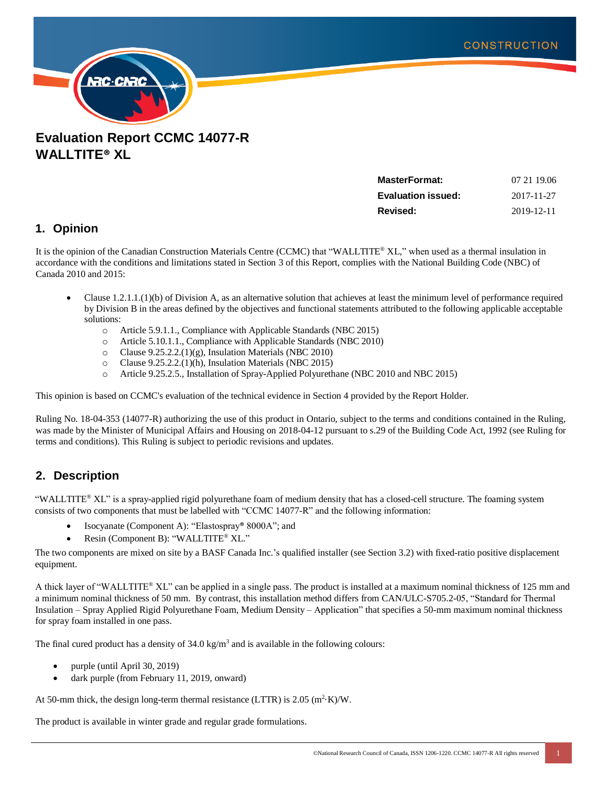

**Evaluation Report CCMC 14077-R WALLTITE® XL**

| <b>MasterFormat:</b>      | 07 21 19:06 |
|---------------------------|-------------|
| <b>Evaluation issued:</b> | 2017-11-27  |
| Revised:                  | 2019-12-11  |

# **1. Opinion**

It is the opinion of the Canadian Construction Materials Centre (CCMC) that "WALLTITE® XL," when used as a thermal insulation in accordance with the conditions and limitations stated in Section 3 of this Report, complies with the National Building Code (NBC) of Canada 2010 and 2015:

- Clause 1.2.1.1.(1)(b) of Division A, as an alternative solution that achieves at least the minimum level of performance required by Division B in the areas defined by the objectives and functional statements attributed to the following applicable acceptable solutions:
	- o Article 5.9.1.1., Compliance with Applicable Standards (NBC 2015)
	- o Article 5.10.1.1., Compliance with Applicable Standards (NBC 2010)
	- o Clause 9.25.2.2.(1)(g), Insulation Materials (NBC 2010)
	- o Clause 9.25.2.2.(1)(h), Insulation Materials (NBC 2015)
	- o Article 9.25.2.5., Installation of Spray-Applied Polyurethane (NBC 2010 and NBC 2015)

This opinion is based on CCMC's evaluation of the technical evidence in Section 4 provided by the Report Holder.

Ruling No. 18-04-353 (14077-R) authorizing the use of this product in Ontario, subject to the terms and conditions contained in the Ruling, was made by the Minister of Municipal Affairs and Housing on 2018-04-12 pursuant to s.29 of the Building Code Act, 1992 (see Ruling for terms and conditions). This Ruling is subject to periodic revisions and updates.

# **2. Description**

"WALLTITE® XL" is a spray-applied rigid polyurethane foam of medium density that has a closed-cell structure. The foaming system consists of two components that must be labelled with "CCMC 14077-R" and the following information:

- Isocyanate (Component A): "Elastospray® 8000A"; and
- Resin (Component B): "WALLTITE® XL."

The two components are mixed on site by a BASF Canada Inc.'s qualified installer (see Section 3.2) with fixed-ratio positive displacement equipment.

A thick layer of "WALLTITE® XL" can be applied in a single pass. The product is installed at a maximum nominal thickness of 125 mm and a minimum nominal thickness of 50 mm. By contrast, this installation method differs from CAN/ULC-S705.2-05, "Standard for Thermal Insulation – Spray Applied Rigid Polyurethane Foam, Medium Density – Application" that specifies a 50-mm maximum nominal thickness for spray foam installed in one pass.

The final cured product has a density of  $34.0 \text{ kg/m}^3$  and is available in the following colours:

- purple (until April 30, 2019)
- dark purple (from February 11, 2019, onward)

At 50-mm thick, the design long-term thermal resistance (LTTR) is  $2.05 \text{ (m}^2 \cdot \text{K})/\text{W}$ .

The product is available in winter grade and regular grade formulations.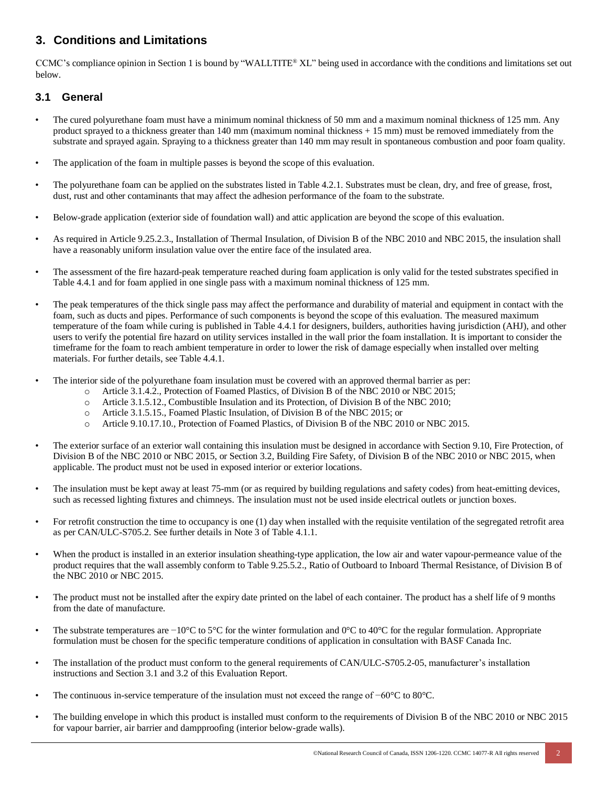# **3. Conditions and Limitations**

CCMC's compliance opinion in Section 1 is bound by "WALLTITE® XL" being used in accordance with the conditions and limitations set out below.

## **3.1 General**

- The cured polyurethane foam must have a minimum nominal thickness of 50 mm and a maximum nominal thickness of 125 mm. Any product sprayed to a thickness greater than 140 mm (maximum nominal thickness + 15 mm) must be removed immediately from the substrate and sprayed again. Spraying to a thickness greater than 140 mm may result in spontaneous combustion and poor foam quality.
- The application of the foam in multiple passes is beyond the scope of this evaluation.
- The polyurethane foam can be applied on the substrates listed in Table 4.2.1. Substrates must be clean, dry, and free of grease, frost, dust, rust and other contaminants that may affect the adhesion performance of the foam to the substrate.
- Below-grade application (exterior side of foundation wall) and attic application are beyond the scope of this evaluation.
- As required in Article 9.25.2.3., Installation of Thermal Insulation, of Division B of the NBC 2010 and NBC 2015, the insulation shall have a reasonably uniform insulation value over the entire face of the insulated area.
- The assessment of the fire hazard-peak temperature reached during foam application is only valid for the tested substrates specified in Table 4.4.1 and for foam applied in one single pass with a maximum nominal thickness of 125 mm.
- The peak temperatures of the thick single pass may affect the performance and durability of material and equipment in contact with the foam, such as ducts and pipes. Performance of such components is beyond the scope of this evaluation. The measured maximum temperature of the foam while curing is published in Table 4.4.1 for designers, builders, authorities having jurisdiction (AHJ), and other users to verify the potential fire hazard on utility services installed in the wall prior the foam installation. It is important to consider the timeframe for the foam to reach ambient temperature in order to lower the risk of damage especially when installed over melting materials. For further details, see Table 4.4.1.
- The interior side of the polyurethane foam insulation must be covered with an approved thermal barrier as per:
	- o Article 3.1.4.2., Protection of Foamed Plastics, of Division B of the NBC 2010 or NBC 2015;
	- o Article 3.1.5.12., Combustible Insulation and its Protection, of Division B of the NBC 2010;
	- o Article 3.1.5.15., Foamed Plastic Insulation, of Division B of the NBC 2015; or
	- o Article 9.10.17.10., Protection of Foamed Plastics, of Division B of the NBC 2010 or NBC 2015.
- The exterior surface of an exterior wall containing this insulation must be designed in accordance with Section 9.10, Fire Protection, of Division B of the NBC 2010 or NBC 2015, or Section 3.2, Building Fire Safety, of Division B of the NBC 2010 or NBC 2015, when applicable. The product must not be used in exposed interior or exterior locations.
- The insulation must be kept away at least 75-mm (or as required by building regulations and safety codes) from heat-emitting devices, such as recessed lighting fixtures and chimneys. The insulation must not be used inside electrical outlets or junction boxes.
- For retrofit construction the time to occupancy is one (1) day when installed with the requisite ventilation of the segregated retrofit area as per CAN/ULC-S705.2. See further details in Note 3 of Table 4.1.1.
- When the product is installed in an exterior insulation sheathing-type application, the low air and water vapour-permeance value of the product requires that the wall assembly conform to Table 9.25.5.2., Ratio of Outboard to Inboard Thermal Resistance, of Division B of the NBC 2010 or NBC 2015.
- The product must not be installed after the expiry date printed on the label of each container. The product has a shelf life of 9 months from the date of manufacture.
- The substrate temperatures are −10°C to 5°C for the winter formulation and 0°C to 40°C for the regular formulation. Appropriate formulation must be chosen for the specific temperature conditions of application in consultation with BASF Canada Inc.
- The installation of the product must conform to the general requirements of CAN/ULC-S705.2-05, manufacturer's installation instructions and Section 3.1 and 3.2 of this Evaluation Report.
- The continuous in-service temperature of the insulation must not exceed the range of −60°C to 80°C.
- The building envelope in which this product is installed must conform to the requirements of Division B of the NBC 2010 or NBC 2015 for vapour barrier, air barrier and dampproofing (interior below-grade walls).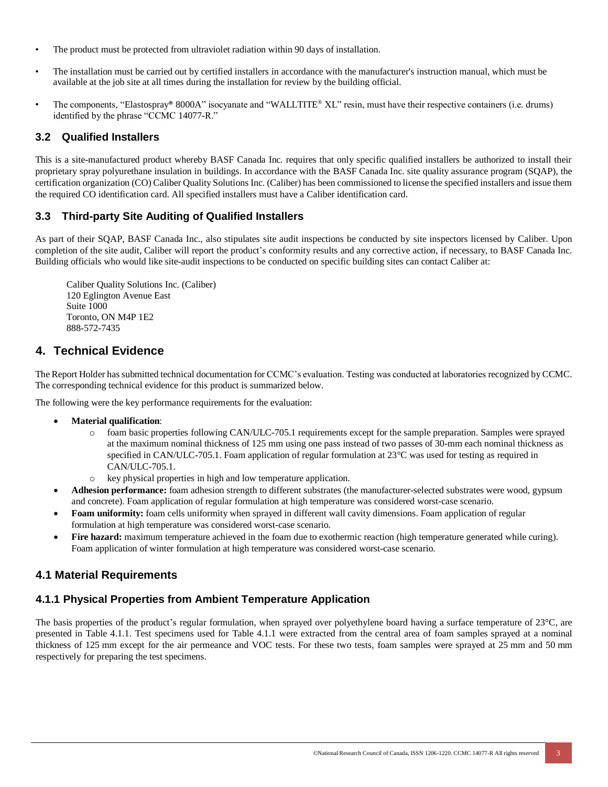- The product must be protected from ultraviolet radiation within 90 days of installation.
- The installation must be carried out by certified installers in accordance with the manufacturer's instruction manual, which must be available at the job site at all times during the installation for review by the building official.
- The components, "Elastospray® 8000A" isocyanate and "WALLTITE® XL" resin, must have their respective containers (i.e. drums) identified by the phrase "CCMC 14077-R."

### **3.2 Qualified Installers**

This is a site-manufactured product whereby BASF Canada Inc. requires that only specific qualified installers be authorized to install their proprietary spray polyurethane insulation in buildings. In accordance with the BASF Canada Inc. site quality assurance program (SQAP), the certification organization (CO) Caliber Quality Solutions Inc. (Caliber) has been commissioned to license the specified installers and issue them the required CO identification card. All specified installers must have a Caliber identification card.

### **3.3 Third-party Site Auditing of Qualified Installers**

As part of their SQAP, BASF Canada Inc., also stipulates site audit inspections be conducted by site inspectors licensed by Caliber. Upon completion of the site audit, Caliber will report the product's conformity results and any corrective action, if necessary, to BASF Canada Inc. Building officials who would like site-audit inspections to be conducted on specific building sites can contact Caliber at:

Caliber Quality Solutions Inc. (Caliber) 120 Eglington Avenue East Suite 1000 Toronto, ON M4P 1E2 888-572-7435

## **4. Technical Evidence**

The Report Holder hassubmitted technical documentation for CCMC's evaluation. Testing was conducted at laboratories recognized byCCMC. The corresponding technical evidence for this product is summarized below.

The following were the key performance requirements for the evaluation:

- **Material qualification**:
	- o foam basic properties following CAN/ULC-705.1 requirements except for the sample preparation. Samples were sprayed at the maximum nominal thickness of 125 mm using one pass instead of two passes of 30-mm each nominal thickness as specified in CAN/ULC-705.1. Foam application of regular formulation at 23°C was used for testing as required in CAN/ULC-705.1.
	- o key physical properties in high and low temperature application.
- **Adhesion performance:** foam adhesion strength to different substrates (the manufacturer-selected substrates were wood, gypsum and concrete). Foam application of regular formulation at high temperature was considered worst-case scenario.
- **Foam uniformity:** foam cells uniformity when sprayed in different wall cavity dimensions. Foam application of regular formulation at high temperature was considered worst-case scenario.
- Fire hazard: maximum temperature achieved in the foam due to exothermic reaction (high temperature generated while curing). Foam application of winter formulation at high temperature was considered worst-case scenario.

## **4.1 Material Requirements**

# **4.1.1 Physical Properties from Ambient Temperature Application**

The basis properties of the product's regular formulation, when sprayed over polyethylene board having a surface temperature of  $23^{\circ}$ C, are presented in Table 4.1.1. Test specimens used for Table 4.1.1 were extracted from the central area of foam samples sprayed at a nominal thickness of 125 mm except for the air permeance and VOC tests. For these two tests, foam samples were sprayed at 25 mm and 50 mm respectively for preparing the test specimens.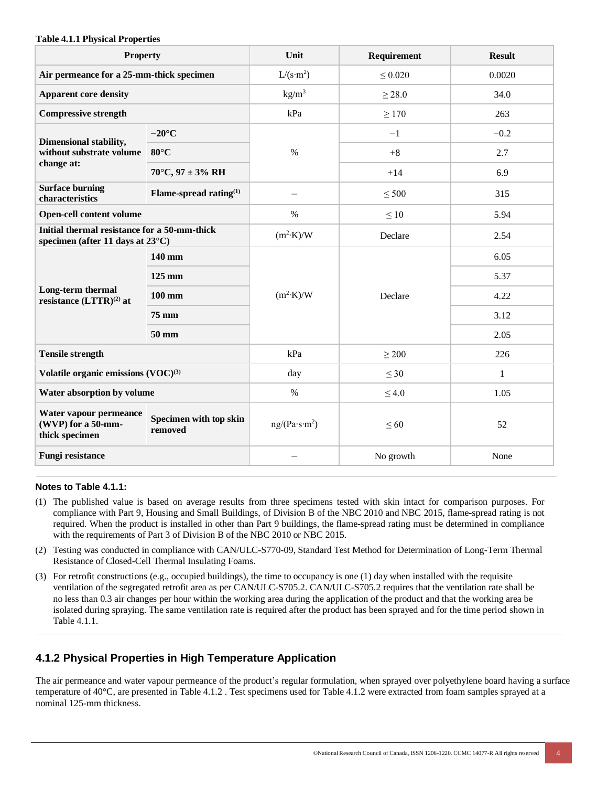#### **Table 4.1.1 Physical Properties**

| <b>Property</b>                                                                                     |                            | Unit                      | Requirement  | <b>Result</b> |
|-----------------------------------------------------------------------------------------------------|----------------------------|---------------------------|--------------|---------------|
| Air permeance for a 25-mm-thick specimen                                                            |                            | $L/(s \cdot m^2)$         | $\leq 0.020$ | 0.0020        |
| <b>Apparent core density</b>                                                                        |                            | $\text{kg/m}^3$           | > 28.0       | 34.0          |
| <b>Compressive strength</b>                                                                         |                            | kPa                       | $\geq$ 170   | 263           |
| Dimensional stability,                                                                              | $-20^{\circ}$ C            |                           | $-1$         | $-0.2$        |
| without substrate volume                                                                            | $80^{\circ}$ C             | $\%$                      | $+8$         | 2.7           |
| change at:                                                                                          | $70^{\circ}$ C, 97 ± 3% RH |                           | $+14$        | 6.9           |
| <b>Surface burning</b><br>characteristics                                                           | Flame-spread rating $(1)$  |                           | $\leq 500$   | 315           |
| <b>Open-cell content volume</b>                                                                     |                            | $\%$                      | $\leq 10$    | 5.94          |
| Initial thermal resistance for a 50-mm-thick<br>specimen (after 11 days at 23°C)                    |                            | $(m^2 \cdot K)/W$         | Declare      | 2.54          |
|                                                                                                     | 140 mm                     | $(m^2 \cdot K)/W$         | Declare      | 6.05          |
|                                                                                                     | $125 \text{ mm}$           |                           |              | 5.37          |
| Long-term thermal<br>resistance (LTTR) <sup>(2)</sup> at                                            | $100 \text{ mm}$           |                           |              | 4.22          |
|                                                                                                     | 75 mm                      |                           |              | 3.12          |
|                                                                                                     | 50 mm                      |                           |              | 2.05          |
| <b>Tensile strength</b>                                                                             |                            | kPa                       | $\geq 200$   | 226           |
| Volatile organic emissions $(VOC)^{(3)}$                                                            |                            | day                       | $\leq 30$    | $\mathbf{1}$  |
| Water absorption by volume                                                                          |                            | $\%$                      | $\leq 4.0$   | 1.05          |
| Water vapour permeance<br>Specimen with top skin<br>(WVP) for a 50-mm-<br>removed<br>thick specimen |                            | ng/(Pa·s·m <sup>2</sup> ) | $\leq 60$    | 52            |
| <b>Fungi resistance</b>                                                                             |                            |                           | No growth    | None          |

#### **Notes to Table 4.1.1:**

- (1) The published value is based on average results from three specimens tested with skin intact for comparison purposes. For compliance with Part 9, Housing and Small Buildings, of Division B of the NBC 2010 and NBC 2015, flame-spread rating is not required. When the product is installed in other than Part 9 buildings, the flame-spread rating must be determined in compliance with the requirements of Part 3 of Division B of the NBC 2010 or NBC 2015.
- (2) Testing was conducted in compliance with CAN/ULC-S770-09, Standard Test Method for Determination of Long-Term Thermal Resistance of Closed-Cell Thermal Insulating Foams.
- (3) For retrofit constructions (e.g., occupied buildings), the time to occupancy is one (1) day when installed with the requisite ventilation of the segregated retrofit area as per CAN/ULC-S705.2. CAN/ULC-S705.2 requires that the ventilation rate shall be no less than 0.3 air changes per hour within the working area during the application of the product and that the working area be isolated during spraying. The same ventilation rate is required after the product has been sprayed and for the time period shown in Table 4.1.1.

## **4.1.2 Physical Properties in High Temperature Application**

The air permeance and water vapour permeance of the product's regular formulation, when sprayed over polyethylene board having a surface temperature of 40°C, are presented in Table 4.1.2 . Test specimens used for Table 4.1.2 were extracted from foam samples sprayed at a nominal 125-mm thickness.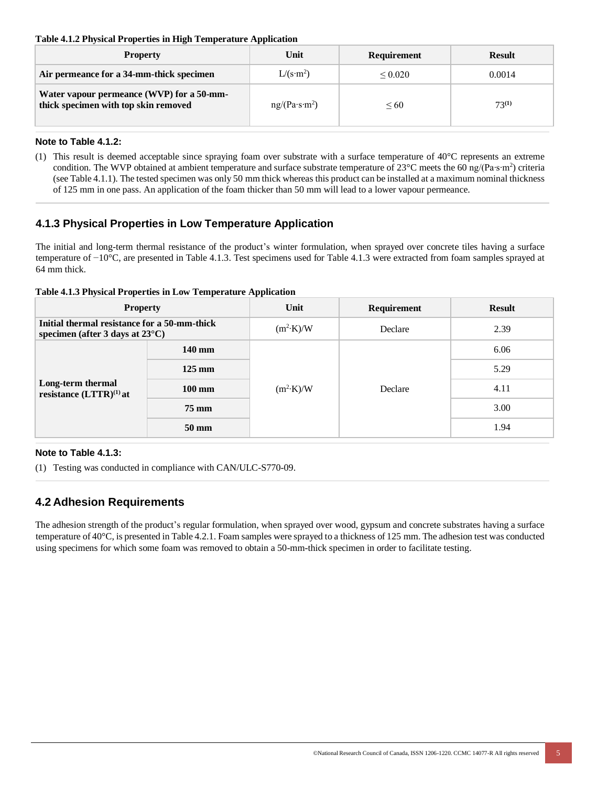#### **Table 4.1.2 Physical Properties in High Temperature Application**

| <b>Property</b>                                                                   | Unit                      | <b>Requirement</b> | <b>Result</b> |
|-----------------------------------------------------------------------------------|---------------------------|--------------------|---------------|
| Air permeance for a 34-mm-thick specimen                                          | $L/(s \cdot m^2)$         | ${}_{0.020}$       | 0.0014        |
| Water vapour permeance (WVP) for a 50-mm-<br>thick specimen with top skin removed | ng/(Pa·s·m <sup>2</sup> ) | $\leq 60$          | $73^{(1)}$    |

#### **Note to Table 4.1.2:**

(1) This result is deemed acceptable since spraying foam over substrate with a surface temperature of 40°C represents an extreme condition. The WVP obtained at ambient temperature and surface substrate temperature of 23 $^{\circ}$ C meets the 60 ng/(Pa⋅s⋅m<sup>2</sup>) criteria (see Table 4.1.1). The tested specimen was only 50 mm thick whereas this product can be installed at a maximum nominal thickness of 125 mm in one pass. An application of the foam thicker than 50 mm will lead to a lower vapour permeance.

# **4.1.3 Physical Properties in Low Temperature Application**

The initial and long-term thermal resistance of the product's winter formulation, when sprayed over concrete tiles having a surface temperature of −10°C, are presented in Table 4.1.3. Test specimens used for Table 4.1.3 were extracted from foam samples sprayed at 64 mm thick.

#### **Table 4.1.3 Physical Properties in Low Temperature Application**

| <b>Property</b>                                                                           |                    | Unit              | Requirement | <b>Result</b> |
|-------------------------------------------------------------------------------------------|--------------------|-------------------|-------------|---------------|
| Initial thermal resistance for a 50-mm-thick<br>specimen (after 3 days at $23^{\circ}$ C) |                    | $(m^2 \cdot K)/W$ | Declare     | 2.39          |
| Long-term thermal<br>resistance $(LTTR)^{(1)}$ at                                         | 140 mm             |                   | Declare     | 6.06          |
|                                                                                           | $125 \text{ mm}$   | $(m^2 \cdot K)/W$ |             | 5.29          |
|                                                                                           | $100 \text{ mm}$   |                   |             | 4.11          |
|                                                                                           | $75 \,\mathrm{mm}$ |                   |             | 3.00          |
|                                                                                           | $50 \text{ mm}$    |                   |             | 1.94          |

#### **Note to Table 4.1.3:**

(1) Testing was conducted in compliance with CAN/ULC-S770-09.

# **4.2 Adhesion Requirements**

The adhesion strength of the product's regular formulation, when sprayed over wood, gypsum and concrete substrates having a surface temperature of 40°C, is presented in Table 4.2.1. Foam samples were sprayed to a thickness of 125 mm. The adhesion test was conducted using specimens for which some foam was removed to obtain a 50-mm-thick specimen in order to facilitate testing.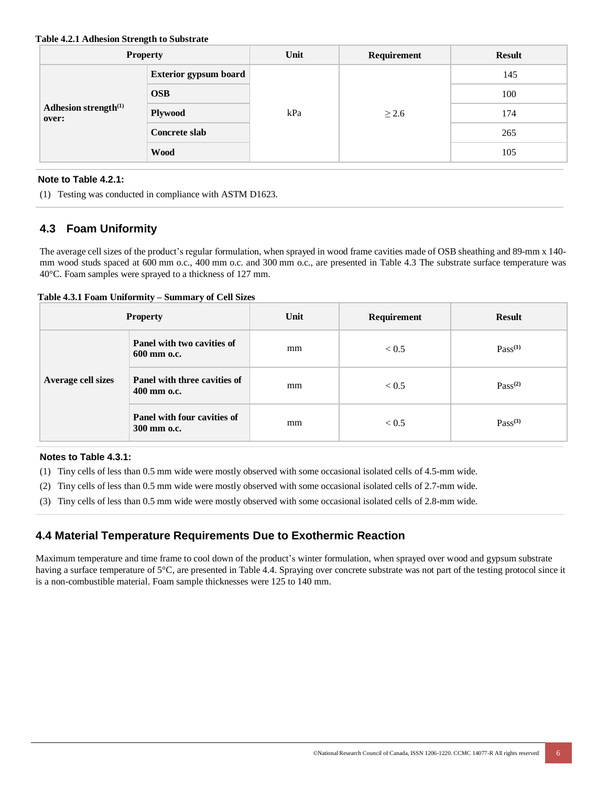#### **Table 4.2.1 Adhesion Strength to Substrate**

| <b>Property</b>                           |                              | Unit | Requirement | <b>Result</b> |
|-------------------------------------------|------------------------------|------|-------------|---------------|
| Adhesion strength <sup>(1)</sup><br>over: | <b>Exterior gypsum board</b> | kPa  | $\geq$ 2.6  | 145           |
|                                           | <b>OSB</b>                   |      |             | 100           |
|                                           | <b>Plywood</b>               |      |             | 174           |
|                                           | Concrete slab                |      |             | 265           |
|                                           | <b>Wood</b>                  |      |             | 105           |

#### **Note to Table 4.2.1:**

(1) Testing was conducted in compliance with ASTM D1623.

# **4.3 Foam Uniformity**

The average cell sizes of the product's regular formulation, when sprayed in wood frame cavities made of OSB sheathing and 89-mm x 140 mm wood studs spaced at 600 mm o.c., 400 mm o.c. and 300 mm o.c., are presented in Table 4.3 The substrate surface temperature was 40°C. Foam samples were sprayed to a thickness of 127 mm.

#### **Table 4.3.1 Foam Uniformity – Summary of Cell Sizes**

| <b>Property</b>    |                                                    | Unit | Requirement  | <b>Result</b> |
|--------------------|----------------------------------------------------|------|--------------|---------------|
| Average cell sizes | <b>Panel with two cavities of</b><br>600 mm o.c.   | mm   | ${}_{< 0.5}$ | $Pass^{(1)}$  |
|                    | <b>Panel with three cavities of</b><br>400 mm o.c. | mm   | < 0.5        | $Pass^{(2)}$  |
|                    | <b>Panel with four cavities of</b><br>300 mm o.c.  | mm   | ${}_{< 0.5}$ | $Pass^{(3)}$  |

#### **Notes to Table 4.3.1:**

- (1) Tiny cells of less than 0.5 mm wide were mostly observed with some occasional isolated cells of 4.5-mm wide.
- (2) Tiny cells of less than 0.5 mm wide were mostly observed with some occasional isolated cells of 2.7-mm wide.
- (3) Tiny cells of less than 0.5 mm wide were mostly observed with some occasional isolated cells of 2.8-mm wide.

## **4.4 Material Temperature Requirements Due to Exothermic Reaction**

Maximum temperature and time frame to cool down of the product's winter formulation, when sprayed over wood and gypsum substrate having a surface temperature of 5°C, are presented in Table 4.4. Spraying over concrete substrate was not part of the testing protocol since it is a non-combustible material. Foam sample thicknesses were 125 to 140 mm.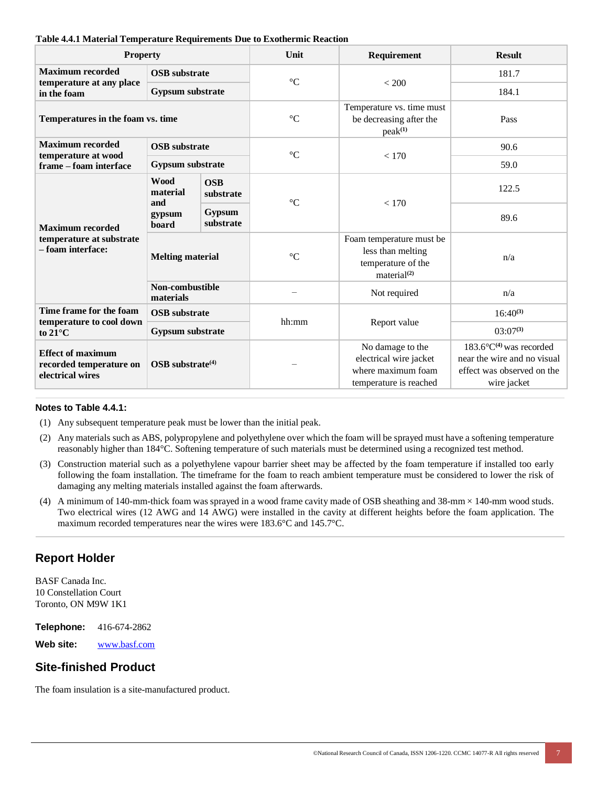| <b>Property</b>                                                                                         |                                          | Unit                    |                                                                                            |                                                                                                                 |               |
|---------------------------------------------------------------------------------------------------------|------------------------------------------|-------------------------|--------------------------------------------------------------------------------------------|-----------------------------------------------------------------------------------------------------------------|---------------|
|                                                                                                         |                                          |                         | Requirement                                                                                | <b>Result</b>                                                                                                   |               |
| <b>Maximum recorded</b><br>temperature at any place                                                     | <b>OSB</b> substrate<br>Gypsum substrate |                         | $^{\circ}{\rm C}$                                                                          | < 200                                                                                                           | 181.7         |
| in the foam                                                                                             |                                          |                         |                                                                                            |                                                                                                                 | 184.1         |
| Temperatures in the foam vs. time                                                                       |                                          | $\rm ^{\circ}C$         | Temperature vs. time must<br>be decreasing after the<br>peak <sup>(1)</sup>                | Pass                                                                                                            |               |
| <b>Maximum recorded</b>                                                                                 | <b>OSB</b> substrate                     |                         | $\rm ^{\circ}C$                                                                            |                                                                                                                 | 90.6          |
| temperature at wood<br>frame - foam interface                                                           | Gypsum substrate                         |                         |                                                                                            | < 170                                                                                                           | 59.0          |
| <b>Maximum recorded</b><br>temperature at substrate<br>- foam interface:                                | <b>Wood</b><br>material<br>and           | <b>OSB</b><br>substrate | $\rm ^{\circ}C$                                                                            | < 170                                                                                                           | 122.5         |
|                                                                                                         | gypsum<br>board                          | Gypsum<br>substrate     |                                                                                            |                                                                                                                 | 89.6          |
|                                                                                                         | <b>Melting material</b>                  |                         | $\rm ^{\circ}C$                                                                            | Foam temperature must be<br>less than melting<br>temperature of the<br>material <sup>(2)</sup>                  | n/a           |
|                                                                                                         | Non-combustible<br>materials             |                         |                                                                                            | Not required                                                                                                    | n/a           |
| Time frame for the foam<br>temperature to cool down<br>to $21^{\circ}$ C                                | <b>OSB</b> substrate                     |                         | hh:mm                                                                                      | Report value                                                                                                    | $16:40^{(3)}$ |
|                                                                                                         | Gypsum substrate                         |                         |                                                                                            |                                                                                                                 | $03:07^{(3)}$ |
| <b>Effect of maximum</b><br>recorded temperature on<br>OSB substrate <sup>(4)</sup><br>electrical wires |                                          |                         | No damage to the<br>electrical wire jacket<br>where maximum foam<br>temperature is reached | $183.6^{\circ}C^{(4)}$ was recorded<br>near the wire and no visual<br>effect was observed on the<br>wire jacket |               |

#### **Table 4.4.1 Material Temperature Requirements Due to Exothermic Reaction**

#### **Notes to Table 4.4.1:**

- (1) Any subsequent temperature peak must be lower than the initial peak.
- (2) Any materials such as ABS, polypropylene and polyethylene over which the foam will be sprayed must have a softening temperature reasonably higher than 184°C. Softening temperature of such materials must be determined using a recognized test method.
- (3) Construction material such as a polyethylene vapour barrier sheet may be affected by the foam temperature if installed too early following the foam installation. The timeframe for the foam to reach ambient temperature must be considered to lower the risk of damaging any melting materials installed against the foam afterwards.
- (4) A minimum of 140-mm-thick foam was sprayed in a wood frame cavity made of OSB sheathing and 38-mm × 140-mm wood studs. Two electrical wires (12 AWG and 14 AWG) were installed in the cavity at different heights before the foam application. The maximum recorded temperatures near the wires were 183.6°C and 145.7°C.

## **Report Holder**

BASF Canada Inc. 10 Constellation Court Toronto, ON M9W 1K1

**Telephone:** 416-674-2862

**Web site:** [www.basf.com](https://www.basf.com/)

### **Site-finished Product**

The foam insulation is a site-manufactured product.